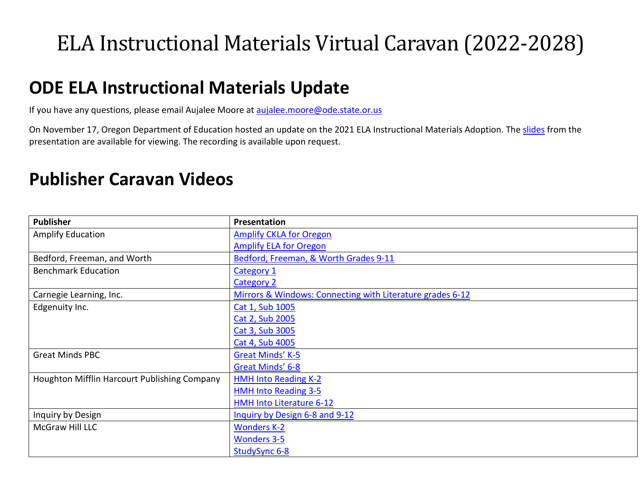## ELA Instructional Materials Virtual Caravan (2022-2028)

## **ODE ELA Instructional Materials Update**

If you have any questions, please email Aujalee Moore at [aujalee.moore@ode.state.or.us](mailto:aujalee.moore@ode.state.or.us)

On November 17, Oregon Department of Education hosted an update on the 2021 ELA Instructional Materials Adoption. The [slides](https://www.oregon.gov/ode/educator-resources/teachingcontent/instructional-materials/Documents/Nov%2017%20ELA%20IM%20Update%20Slide%20Deck.pdf) from the presentation are available for viewing. The recording is available upon request.

## **Publisher Caravan Videos**

| <b>Publisher</b>                             | Presentation                                              |
|----------------------------------------------|-----------------------------------------------------------|
| <b>Amplify Education</b>                     | <b>Amplify CKLA for Oregon</b>                            |
|                                              | <b>Amplify ELA for Oregon</b>                             |
| Bedford, Freeman, and Worth                  | Bedford, Freeman, & Worth Grades 9-11                     |
| <b>Benchmark Education</b>                   | Category 1                                                |
|                                              | Category 2                                                |
| Carnegie Learning, Inc.                      | Mirrors & Windows: Connecting with Literature grades 6-12 |
| Edgenuity Inc.                               | Cat 1, Sub 1005                                           |
|                                              | Cat 2, Sub 2005                                           |
|                                              | Cat 3, Sub 3005                                           |
|                                              | Cat 4, Sub 4005                                           |
| <b>Great Minds PBC</b>                       | Great Minds' K-5                                          |
|                                              | Great Minds' 6-8                                          |
| Houghton Mifflin Harcourt Publishing Company | <b>HMH Into Reading K-2</b>                               |
|                                              | <b>HMH Into Reading 3-5</b>                               |
|                                              | HMH Into Literature 6-12                                  |
| Inquiry by Design                            | Inquiry by Design 6-8 and 9-12                            |
| McGraw Hill LLC                              | <b>Wonders K-2</b>                                        |
|                                              | <b>Wonders 3-5</b>                                        |
|                                              | StudySync 6-8                                             |